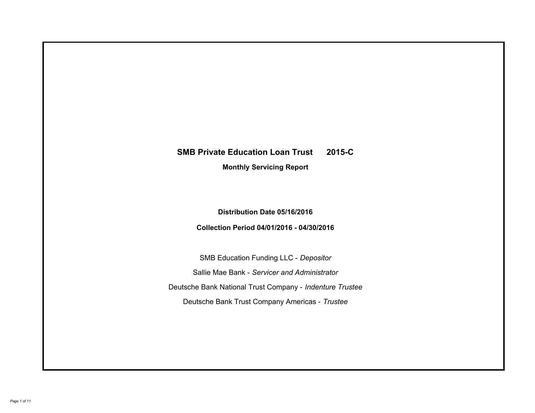# **SMB Private Education Loan Trust 2015-C Monthly Servicing Report**

## **Distribution Date 05/16/2016**

## **Collection Period 04/01/2016 - 04/30/2016**

SMB Education Funding LLC - *Depositor* Sallie Mae Bank - *Servicer and Administrator* Deutsche Bank National Trust Company - *Indenture Trustee* Deutsche Bank Trust Company Americas - *Trustee*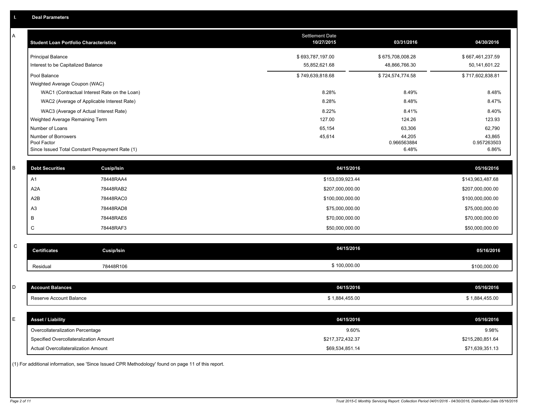| Α           | <b>Student Loan Portfolio Characteristics</b>   |                                                                                                     | <b>Settlement Date</b><br>10/27/2015 | 03/31/2016            | 04/30/2016            |
|-------------|-------------------------------------------------|-----------------------------------------------------------------------------------------------------|--------------------------------------|-----------------------|-----------------------|
|             | <b>Principal Balance</b>                        |                                                                                                     | \$693,787,197.00                     | \$675,708,008.28      | \$667,461,237.59      |
|             | Interest to be Capitalized Balance              |                                                                                                     | 55,852,621.68                        | 48,866,766.30         | 50,141,601.22         |
|             | Pool Balance                                    |                                                                                                     | \$749,639,818.68                     | \$724,574,774.58      | \$717,602,838.81      |
|             | Weighted Average Coupon (WAC)                   |                                                                                                     |                                      |                       |                       |
|             |                                                 | WAC1 (Contractual Interest Rate on the Loan)                                                        | 8.28%                                | 8.49%                 | 8.48%                 |
|             |                                                 | WAC2 (Average of Applicable Interest Rate)                                                          | 8.28%                                | 8.48%                 | 8.47%                 |
|             | WAC3 (Average of Actual Interest Rate)          |                                                                                                     | 8.22%                                | 8.41%                 | 8.40%                 |
|             | Weighted Average Remaining Term                 |                                                                                                     | 127.00                               | 124.26                | 123.93                |
|             | Number of Loans                                 |                                                                                                     | 65,154                               | 63,306                | 62,790                |
|             | Number of Borrowers<br>Pool Factor              |                                                                                                     | 45,614                               | 44,205<br>0.966563884 | 43,865<br>0.957263503 |
|             | Since Issued Total Constant Prepayment Rate (1) |                                                                                                     |                                      | 6.48%                 | 6.86%                 |
|             |                                                 |                                                                                                     |                                      |                       |                       |
| B           | <b>Debt Securities</b>                          | Cusip/Isin                                                                                          | 04/15/2016                           |                       | 05/16/2016            |
|             | A <sub>1</sub>                                  | 78448RAA4                                                                                           | \$153,039,923.44                     |                       | \$143,963,487.68      |
|             | A <sub>2</sub> A                                | 78448RAB2                                                                                           | \$207,000,000.00                     |                       | \$207,000,000.00      |
|             | A2B                                             | 78448RAC0                                                                                           | \$100,000,000.00                     |                       | \$100,000,000.00      |
|             | A <sub>3</sub>                                  | 78448RAD8                                                                                           | \$75,000,000.00                      |                       | \$75,000,000.00       |
|             | B                                               | 78448RAE6                                                                                           | \$70,000,000.00                      |                       | \$70,000,000.00       |
|             | C                                               | 78448RAF3                                                                                           | \$50,000,000.00                      |                       | \$50,000,000.00       |
|             |                                                 |                                                                                                     |                                      |                       |                       |
| $\mathsf C$ | <b>Certificates</b>                             | <b>Cusip/Isin</b>                                                                                   | 04/15/2016                           |                       | 05/16/2016            |
|             | Residual                                        | 78448R106                                                                                           | \$100,000.00                         |                       | \$100,000.00          |
|             |                                                 |                                                                                                     |                                      |                       |                       |
| D           | <b>Account Balances</b>                         |                                                                                                     | 04/15/2016                           |                       | 05/16/2016            |
|             | Reserve Account Balance                         |                                                                                                     | \$1,884,455.00                       |                       | \$1,884,455.00        |
|             |                                                 |                                                                                                     |                                      |                       |                       |
| E           | <b>Asset / Liability</b>                        |                                                                                                     | 04/15/2016                           |                       | 05/16/2016            |
|             | Overcollateralization Percentage                |                                                                                                     | 9.60%                                |                       | 9.98%                 |
|             | Specified Overcollateralization Amount          |                                                                                                     | \$217,372,432.37                     |                       | \$215,280,851.64      |
|             | Actual Overcollateralization Amount             |                                                                                                     | \$69,534,851.14                      |                       | \$71,639,351.13       |
|             |                                                 | (1) For additional information, see 'Since Issued CPR Methodology' found on page 11 of this report. |                                      |                       |                       |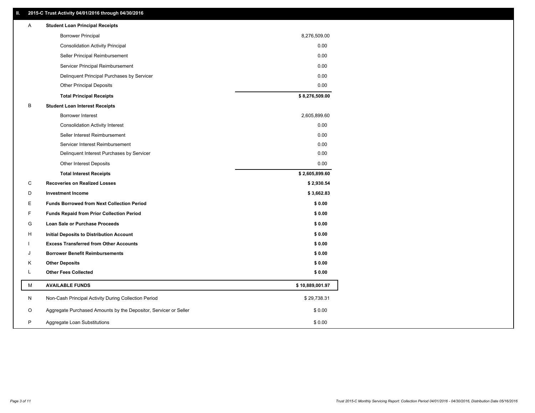### **II. 2015-C Trust Activity 04/01/2016 through 04/30/2016**

| Α  | <b>Student Loan Principal Receipts</b>                           |                 |
|----|------------------------------------------------------------------|-----------------|
|    | <b>Borrower Principal</b>                                        | 8,276,509.00    |
|    | <b>Consolidation Activity Principal</b>                          | 0.00            |
|    | Seller Principal Reimbursement                                   | 0.00            |
|    | Servicer Principal Reimbursement                                 | 0.00            |
|    | Delinquent Principal Purchases by Servicer                       | 0.00            |
|    | <b>Other Principal Deposits</b>                                  | 0.00            |
|    | <b>Total Principal Receipts</b>                                  | \$8,276,509.00  |
| В  | <b>Student Loan Interest Receipts</b>                            |                 |
|    | <b>Borrower Interest</b>                                         | 2,605,899.60    |
|    | <b>Consolidation Activity Interest</b>                           | 0.00            |
|    | Seller Interest Reimbursement                                    | 0.00            |
|    | Servicer Interest Reimbursement                                  | 0.00            |
|    | Delinquent Interest Purchases by Servicer                        | 0.00            |
|    | Other Interest Deposits                                          | 0.00            |
|    | <b>Total Interest Receipts</b>                                   | \$2,605,899.60  |
| C  | <b>Recoveries on Realized Losses</b>                             | \$2,930.54      |
| D  | <b>Investment Income</b>                                         | \$3,662.83      |
| Е  | <b>Funds Borrowed from Next Collection Period</b>                | \$0.00          |
| F. | <b>Funds Repaid from Prior Collection Period</b>                 | \$0.00          |
| G  | Loan Sale or Purchase Proceeds                                   | \$0.00          |
| н  | Initial Deposits to Distribution Account                         | \$0.00          |
|    | <b>Excess Transferred from Other Accounts</b>                    | \$0.00          |
| J  | <b>Borrower Benefit Reimbursements</b>                           | \$0.00          |
| κ  | <b>Other Deposits</b>                                            | \$0.00          |
| L  | <b>Other Fees Collected</b>                                      | \$0.00          |
| м  | <b>AVAILABLE FUNDS</b>                                           | \$10,889,001.97 |
| N  | Non-Cash Principal Activity During Collection Period             | \$29,738.31     |
| O  | Aggregate Purchased Amounts by the Depositor, Servicer or Seller | \$0.00          |
| P  | Aggregate Loan Substitutions                                     | \$0.00          |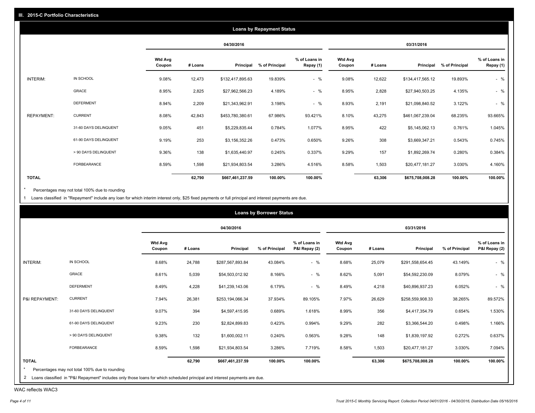|                   |                       |                          |         |                  | <b>Loans by Repayment Status</b> |                            |                          |         |                  |                |                            |
|-------------------|-----------------------|--------------------------|---------|------------------|----------------------------------|----------------------------|--------------------------|---------|------------------|----------------|----------------------------|
|                   |                       |                          |         | 04/30/2016       |                                  |                            |                          |         | 03/31/2016       |                |                            |
|                   |                       | <b>Wtd Avg</b><br>Coupon | # Loans | Principal        | % of Principal                   | % of Loans in<br>Repay (1) | <b>Wtd Avg</b><br>Coupon | # Loans | Principal        | % of Principal | % of Loans in<br>Repay (1) |
| INTERIM:          | IN SCHOOL             | 9.08%                    | 12,473  | \$132,417,895.63 | 19.839%                          | $-$ %                      | 9.08%                    | 12,622  | \$134,417,565.12 | 19.893%        | $-$ %                      |
|                   | GRACE                 | 8.95%                    | 2,825   | \$27,962,566.23  | 4.189%                           | $-$ %                      | 8.95%                    | 2,828   | \$27,940,503.25  | 4.135%         | $-$ %                      |
|                   | <b>DEFERMENT</b>      | 8.94%                    | 2,209   | \$21,343,962.91  | 3.198%                           | $-$ %                      | 8.93%                    | 2,191   | \$21,098,840.52  | 3.122%         | $-$ %                      |
| <b>REPAYMENT:</b> | <b>CURRENT</b>        | 8.08%                    | 42,843  | \$453,780,380.61 | 67.986%                          | 93.421%                    | 8.10%                    | 43,275  | \$461,067,239.04 | 68.235%        | 93.665%                    |
|                   | 31-60 DAYS DELINQUENT | 9.05%                    | 451     | \$5,229,835.44   | 0.784%                           | 1.077%                     | 8.95%                    | 422     | \$5,145,062.13   | 0.761%         | 1.045%                     |
|                   | 61-90 DAYS DELINQUENT | 9.19%                    | 253     | \$3,156,352.26   | 0.473%                           | 0.650%                     | 9.26%                    | 308     | \$3,669,347.21   | 0.543%         | 0.745%                     |
|                   | > 90 DAYS DELINQUENT  | 9.36%                    | 138     | \$1,635,440.97   | 0.245%                           | 0.337%                     | 9.29%                    | 157     | \$1,892,269.74   | 0.280%         | 0.384%                     |
|                   | FORBEARANCE           | 8.59%                    | 1,598   | \$21,934,803.54  | 3.286%                           | 4.516%                     | 8.58%                    | 1,503   | \$20,477,181.27  | 3.030%         | 4.160%                     |
| <b>TOTAL</b>      |                       |                          | 62,790  | \$667,461,237.59 | 100.00%                          | 100.00%                    |                          | 63,306  | \$675,708,008.28 | 100.00%        | 100.00%                    |

Percentages may not total 100% due to rounding  $^\star$ 

1 Loans classified in "Repayment" include any loan for which interim interest only, \$25 fixed payments or full principal and interest payments are due.

| 04/30/2016<br>03/31/2016<br><b>Wtd Avg</b><br>% of Loans in<br><b>Wtd Avg</b><br># Loans<br>Principal<br>% of Principal<br>P&I Repay (2)<br>% of Principal<br>Principal<br>Coupon<br># Loans<br>Coupon<br>$-$ %<br>IN SCHOOL<br>8.68%<br>24,788<br>43.084%<br>8.68%<br>25,079<br>43.149%<br>\$287,567,893.84<br>\$291,558,654.45<br>INTERIM:<br>GRACE<br>$-$ %<br>8.61%<br>5,039<br>8.166%<br>8.62%<br>8.079%<br>\$54,503,012.92<br>5,091<br>\$54,592,230.09<br><b>DEFERMENT</b><br>4,228<br>$-$ %<br>8.49%<br>6.179%<br>8.49%<br>4,218<br>6.052%<br>\$41,239,143.06<br>\$40,896,937.23<br><b>CURRENT</b><br>26,381<br>7.97%<br>26,629<br>P&I REPAYMENT:<br>7.94%<br>37.934%<br>89.105%<br>38.265%<br>\$253,194,066.34<br>\$258,559,908.33<br>9.07%<br>394<br>356<br>31-60 DAYS DELINQUENT<br>0.689%<br>1.618%<br>8.99%<br>0.654%<br>\$4,597,415.95<br>\$4,417,354.79<br>282<br>61-90 DAYS DELINQUENT<br>9.23%<br>230<br>0.423%<br>0.994%<br>9.29%<br>0.498%<br>\$2,824,899.83<br>\$3,366,544.20<br>132<br>> 90 DAYS DELINQUENT<br>9.38%<br>0.563%<br>9.28%<br>148<br>0.272%<br>\$1,600,002.11<br>0.240%<br>\$1,839,197.92<br>FORBEARANCE<br>8.59%<br>1,598<br>3.286%<br>7.719%<br>8.58%<br>1,503<br>\$20,477,181.27<br>3.030%<br>\$21,934,803.54<br><b>TOTAL</b><br>100.00%<br>62,790<br>100.00%<br>63,306<br>100.00%<br>\$667,461,237.59<br>\$675,708,008.28 |                                                |  | <b>Loans by Borrower Status</b> |  |  |                                |
|----------------------------------------------------------------------------------------------------------------------------------------------------------------------------------------------------------------------------------------------------------------------------------------------------------------------------------------------------------------------------------------------------------------------------------------------------------------------------------------------------------------------------------------------------------------------------------------------------------------------------------------------------------------------------------------------------------------------------------------------------------------------------------------------------------------------------------------------------------------------------------------------------------------------------------------------------------------------------------------------------------------------------------------------------------------------------------------------------------------------------------------------------------------------------------------------------------------------------------------------------------------------------------------------------------------------------------------------------------------|------------------------------------------------|--|---------------------------------|--|--|--------------------------------|
|                                                                                                                                                                                                                                                                                                                                                                                                                                                                                                                                                                                                                                                                                                                                                                                                                                                                                                                                                                                                                                                                                                                                                                                                                                                                                                                                                                |                                                |  |                                 |  |  |                                |
|                                                                                                                                                                                                                                                                                                                                                                                                                                                                                                                                                                                                                                                                                                                                                                                                                                                                                                                                                                                                                                                                                                                                                                                                                                                                                                                                                                |                                                |  |                                 |  |  | % of Loans in<br>P&I Repay (2) |
|                                                                                                                                                                                                                                                                                                                                                                                                                                                                                                                                                                                                                                                                                                                                                                                                                                                                                                                                                                                                                                                                                                                                                                                                                                                                                                                                                                |                                                |  |                                 |  |  | $-$ %                          |
|                                                                                                                                                                                                                                                                                                                                                                                                                                                                                                                                                                                                                                                                                                                                                                                                                                                                                                                                                                                                                                                                                                                                                                                                                                                                                                                                                                |                                                |  |                                 |  |  | $-$ %                          |
|                                                                                                                                                                                                                                                                                                                                                                                                                                                                                                                                                                                                                                                                                                                                                                                                                                                                                                                                                                                                                                                                                                                                                                                                                                                                                                                                                                |                                                |  |                                 |  |  | $-$ %                          |
|                                                                                                                                                                                                                                                                                                                                                                                                                                                                                                                                                                                                                                                                                                                                                                                                                                                                                                                                                                                                                                                                                                                                                                                                                                                                                                                                                                |                                                |  |                                 |  |  | 89.572%                        |
|                                                                                                                                                                                                                                                                                                                                                                                                                                                                                                                                                                                                                                                                                                                                                                                                                                                                                                                                                                                                                                                                                                                                                                                                                                                                                                                                                                |                                                |  |                                 |  |  | 1.530%                         |
|                                                                                                                                                                                                                                                                                                                                                                                                                                                                                                                                                                                                                                                                                                                                                                                                                                                                                                                                                                                                                                                                                                                                                                                                                                                                                                                                                                |                                                |  |                                 |  |  | 1.166%                         |
|                                                                                                                                                                                                                                                                                                                                                                                                                                                                                                                                                                                                                                                                                                                                                                                                                                                                                                                                                                                                                                                                                                                                                                                                                                                                                                                                                                |                                                |  |                                 |  |  | 0.637%                         |
|                                                                                                                                                                                                                                                                                                                                                                                                                                                                                                                                                                                                                                                                                                                                                                                                                                                                                                                                                                                                                                                                                                                                                                                                                                                                                                                                                                |                                                |  |                                 |  |  | 7.094%                         |
|                                                                                                                                                                                                                                                                                                                                                                                                                                                                                                                                                                                                                                                                                                                                                                                                                                                                                                                                                                                                                                                                                                                                                                                                                                                                                                                                                                |                                                |  |                                 |  |  | 100.00%                        |
|                                                                                                                                                                                                                                                                                                                                                                                                                                                                                                                                                                                                                                                                                                                                                                                                                                                                                                                                                                                                                                                                                                                                                                                                                                                                                                                                                                | Percentages may not total 100% due to rounding |  |                                 |  |  |                                |

WAC reflects WAC3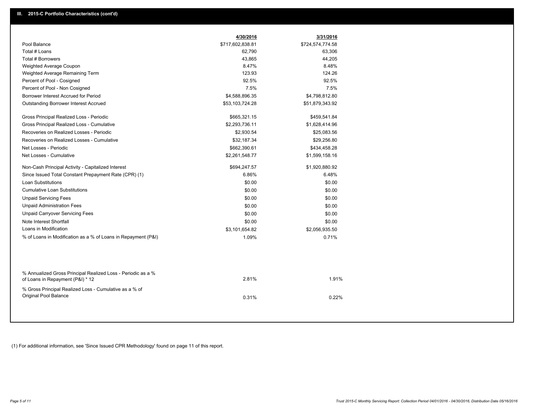|                                                                                                  | 4/30/2016        | 3/31/2016        |  |
|--------------------------------------------------------------------------------------------------|------------------|------------------|--|
| Pool Balance                                                                                     | \$717,602,838.81 | \$724,574,774.58 |  |
| Total # Loans                                                                                    | 62,790           | 63,306           |  |
| Total # Borrowers                                                                                | 43,865           | 44,205           |  |
| Weighted Average Coupon                                                                          | 8.47%            | 8.48%            |  |
| Weighted Average Remaining Term                                                                  | 123.93           | 124.26           |  |
| Percent of Pool - Cosigned                                                                       | 92.5%            | 92.5%            |  |
| Percent of Pool - Non Cosigned                                                                   | 7.5%             | 7.5%             |  |
| Borrower Interest Accrued for Period                                                             | \$4,588,896.35   | \$4,798,812.80   |  |
| Outstanding Borrower Interest Accrued                                                            | \$53,103,724.28  | \$51,879,343.92  |  |
| Gross Principal Realized Loss - Periodic                                                         | \$665,321.15     | \$459,541.84     |  |
| Gross Principal Realized Loss - Cumulative                                                       | \$2,293,736.11   | \$1,628,414.96   |  |
| Recoveries on Realized Losses - Periodic                                                         | \$2,930.54       | \$25,083.56      |  |
| Recoveries on Realized Losses - Cumulative                                                       | \$32,187.34      | \$29,256.80      |  |
| Net Losses - Periodic                                                                            | \$662,390.61     | \$434,458.28     |  |
| Net Losses - Cumulative                                                                          | \$2,261,548.77   | \$1,599,158.16   |  |
| Non-Cash Principal Activity - Capitalized Interest                                               | \$694,247.57     | \$1,920,880.92   |  |
| Since Issued Total Constant Prepayment Rate (CPR) (1)                                            | 6.86%            | 6.48%            |  |
| <b>Loan Substitutions</b>                                                                        | \$0.00           | \$0.00           |  |
| <b>Cumulative Loan Substitutions</b>                                                             | \$0.00           | \$0.00           |  |
| <b>Unpaid Servicing Fees</b>                                                                     | \$0.00           | \$0.00           |  |
| <b>Unpaid Administration Fees</b>                                                                | \$0.00           | \$0.00           |  |
| <b>Unpaid Carryover Servicing Fees</b>                                                           | \$0.00           | \$0.00           |  |
| Note Interest Shortfall                                                                          | \$0.00           | \$0.00           |  |
| Loans in Modification                                                                            | \$3,101,654.82   | \$2,056,935.50   |  |
| % of Loans in Modification as a % of Loans in Repayment (P&I)                                    | 1.09%            | 0.71%            |  |
|                                                                                                  |                  |                  |  |
| % Annualized Gross Principal Realized Loss - Periodic as a %<br>of Loans in Repayment (P&I) * 12 | 2.81%            | 1.91%            |  |
| % Gross Principal Realized Loss - Cumulative as a % of<br>Original Pool Balance                  | 0.31%            | 0.22%            |  |

(1) For additional information, see 'Since Issued CPR Methodology' found on page 11 of this report.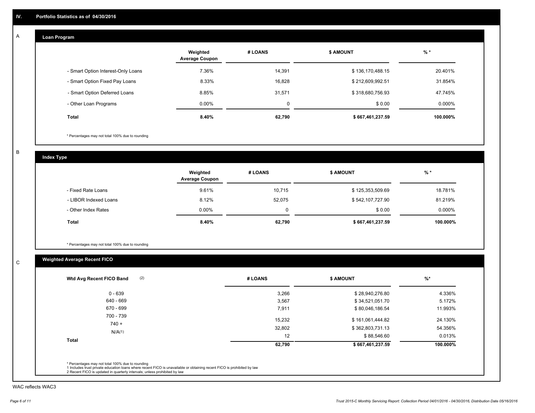#### **Loan Program**  A

|                                    | Weighted<br><b>Average Coupon</b> | # LOANS | <b>\$ AMOUNT</b> | $%$ *     |
|------------------------------------|-----------------------------------|---------|------------------|-----------|
| - Smart Option Interest-Only Loans | 7.36%                             | 14.391  | \$136,170,488.15 | 20.401%   |
| - Smart Option Fixed Pay Loans     | 8.33%                             | 16,828  | \$212,609,992.51 | 31.854%   |
| - Smart Option Deferred Loans      | 8.85%                             | 31.571  | \$318,680,756.93 | 47.745%   |
| - Other Loan Programs              | $0.00\%$                          | 0       | \$0.00           | $0.000\%$ |
| <b>Total</b>                       | 8.40%                             | 62,790  | \$667,461,237.59 | 100.000%  |

\* Percentages may not total 100% due to rounding

B

C

**Index Type**

|                       | Weighted<br><b>Average Coupon</b> | # LOANS  | <b>\$ AMOUNT</b> | $%$ *     |
|-----------------------|-----------------------------------|----------|------------------|-----------|
| - Fixed Rate Loans    | 9.61%                             | 10,715   | \$125,353,509.69 | 18.781%   |
| - LIBOR Indexed Loans | 8.12%                             | 52.075   | \$542,107,727.90 | 81.219%   |
| - Other Index Rates   | $0.00\%$                          | $\Omega$ | \$0.00           | $0.000\%$ |
| <b>Total</b>          | 8.40%                             | 62,790   | \$667,461,237.59 | 100.000%  |

\* Percentages may not total 100% due to rounding

## **Weighted Average Recent FICO**

| $0 - 639$            | 3,266  | \$28,940,276.80  | 4.336%   |
|----------------------|--------|------------------|----------|
| 640 - 669            | 3,567  | \$34,521,051.70  | 5.172%   |
| 670 - 699            | 7,911  | \$80,046,186.54  | 11.993%  |
| 700 - 739<br>$740 +$ | 15,232 | \$161,061,444.82 | 24.130%  |
| N/A(1)               | 32,802 | \$362,803,731.13 | 54.356%  |
|                      | 12     | \$88,546.60      | 0.013%   |
| <b>Total</b>         | 62,790 | \$667,461,237.59 | 100.000% |

WAC reflects WAC3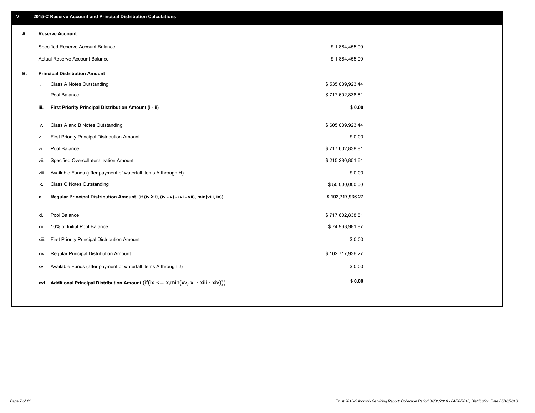| ۷. |       | 2015-C Reserve Account and Principal Distribution Calculations                             |                  |  |
|----|-------|--------------------------------------------------------------------------------------------|------------------|--|
| А. |       | <b>Reserve Account</b>                                                                     |                  |  |
|    |       | Specified Reserve Account Balance                                                          | \$1,884,455.00   |  |
|    |       | Actual Reserve Account Balance                                                             | \$1,884,455.00   |  |
| В. |       | <b>Principal Distribution Amount</b>                                                       |                  |  |
|    | i.    | Class A Notes Outstanding                                                                  | \$535,039,923.44 |  |
|    | ii.   | Pool Balance                                                                               | \$717,602,838.81 |  |
|    | iii.  | First Priority Principal Distribution Amount (i - ii)                                      | \$0.00           |  |
|    |       |                                                                                            |                  |  |
|    | iv.   | Class A and B Notes Outstanding                                                            | \$605,039,923.44 |  |
|    | v.    | First Priority Principal Distribution Amount                                               | \$0.00           |  |
|    | vi.   | Pool Balance                                                                               | \$717,602,838.81 |  |
|    | vii.  | Specified Overcollateralization Amount                                                     | \$215,280,851.64 |  |
|    | viii. | Available Funds (after payment of waterfall items A through H)                             | \$0.00           |  |
|    | ix.   | <b>Class C Notes Outstanding</b>                                                           | \$50,000,000.00  |  |
|    | x.    | Regular Principal Distribution Amount (if (iv > 0, (iv - v) - (vi - vii), min(viii, ix))   | \$102,717,936.27 |  |
|    |       |                                                                                            |                  |  |
|    | xi.   | Pool Balance                                                                               | \$717,602,838.81 |  |
|    | xii.  | 10% of Initial Pool Balance                                                                | \$74,963,981.87  |  |
|    | xiii. | First Priority Principal Distribution Amount                                               | \$0.00           |  |
|    | xiv.  | Regular Principal Distribution Amount                                                      | \$102,717,936.27 |  |
|    | XV.   | Available Funds (after payment of waterfall items A through J)                             | \$0.00           |  |
|    |       | xvi. Additional Principal Distribution Amount (if(ix $\lt$ = x, min(xv, xi - xiii - xiv))) | \$0.00           |  |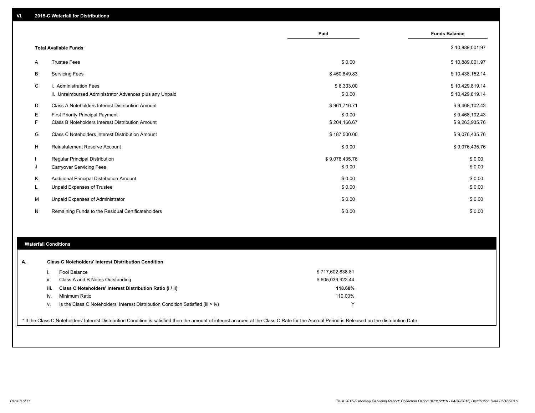|          |                                                                                   | Paid                 | <b>Funds Balance</b>               |
|----------|-----------------------------------------------------------------------------------|----------------------|------------------------------------|
|          | <b>Total Available Funds</b>                                                      |                      | \$10,889,001.97                    |
| A        | <b>Trustee Fees</b>                                                               | \$0.00               | \$10,889,001.97                    |
| В        | <b>Servicing Fees</b>                                                             | \$450,849.83         | \$10,438,152.14                    |
| C        | i. Administration Fees<br>ii. Unreimbursed Administrator Advances plus any Unpaid | \$8,333.00<br>\$0.00 | \$10,429,819.14<br>\$10,429,819.14 |
| D        | Class A Noteholders Interest Distribution Amount                                  | \$961,716.71         | \$9,468,102.43                     |
| Е        | <b>First Priority Principal Payment</b>                                           | \$0.00               | \$9,468,102.43                     |
| F        | Class B Noteholders Interest Distribution Amount                                  | \$204,166.67         | \$9,263,935.76                     |
| G        | Class C Noteholders Interest Distribution Amount                                  | \$187,500.00         | \$9,076,435.76                     |
| н        | Reinstatement Reserve Account                                                     | \$0.00               | \$9,076,435.76                     |
|          | <b>Regular Principal Distribution</b>                                             | \$9,076,435.76       | \$0.00                             |
| J        | <b>Carryover Servicing Fees</b>                                                   | \$0.00               | \$0.00                             |
| K        | <b>Additional Principal Distribution Amount</b>                                   | \$0.00               | \$0.00                             |
| <b>L</b> | Unpaid Expenses of Trustee                                                        | \$0.00               | \$0.00                             |
| М        | Unpaid Expenses of Administrator                                                  | \$0.00               | \$0.00                             |
| N        | Remaining Funds to the Residual Certificateholders                                | \$0.00               | \$0.00                             |

#### **Waterfall Conditions**

| Α. |      | <b>Class C Noteholders' Interest Distribution Condition</b>                      |                  |  |
|----|------|----------------------------------------------------------------------------------|------------------|--|
|    |      | Pool Balance                                                                     | \$717,602,838.81 |  |
|    | Ш.   | Class A and B Notes Outstanding                                                  | \$605,039,923.44 |  |
|    | iii. | Class C Noteholders' Interest Distribution Ratio (i / ii)                        | 118.60%          |  |
|    | IV.  | Minimum Ratio                                                                    | 110.00%          |  |
|    | v.   | Is the Class C Noteholders' Interest Distribution Condition Satisfied (iii > iv) | v                |  |
|    |      |                                                                                  |                  |  |

\* If the Class C Noteholders' Interest Distribution Condition is satisfied then the amount of interest accrued at the Class C Rate for the Accrual Period is Released on the distribution Date.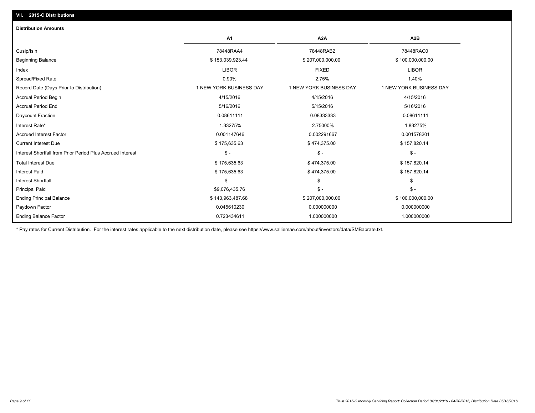| <b>Distribution Amounts</b>                                |                         |                         |                         |
|------------------------------------------------------------|-------------------------|-------------------------|-------------------------|
|                                                            | A1                      | A <sub>2</sub> A        | A <sub>2</sub> B        |
| Cusip/Isin                                                 | 78448RAA4               | 78448RAB2               | 78448RAC0               |
| <b>Beginning Balance</b>                                   | \$153,039,923.44        | \$207,000,000.00        | \$100,000,000.00        |
| Index                                                      | <b>LIBOR</b>            | <b>FIXED</b>            | <b>LIBOR</b>            |
| Spread/Fixed Rate                                          | 0.90%                   | 2.75%                   | 1.40%                   |
| Record Date (Days Prior to Distribution)                   | 1 NEW YORK BUSINESS DAY | 1 NEW YORK BUSINESS DAY | 1 NEW YORK BUSINESS DAY |
| <b>Accrual Period Begin</b>                                | 4/15/2016               | 4/15/2016               | 4/15/2016               |
| <b>Accrual Period End</b>                                  | 5/16/2016               | 5/15/2016               | 5/16/2016               |
| Daycount Fraction                                          | 0.08611111              | 0.08333333              | 0.08611111              |
| Interest Rate*                                             | 1.33275%                | 2.75000%                | 1.83275%                |
| <b>Accrued Interest Factor</b>                             | 0.001147646             | 0.002291667             | 0.001578201             |
| <b>Current Interest Due</b>                                | \$175,635.63            | \$474,375.00            | \$157,820.14            |
| Interest Shortfall from Prior Period Plus Accrued Interest | $\mathsf{\$}$ -         | $\mathsf{\$}$ -         | $\mathcal{S}$ -         |
| <b>Total Interest Due</b>                                  | \$175,635.63            | \$474,375.00            | \$157,820.14            |
| <b>Interest Paid</b>                                       | \$175,635.63            | \$474,375.00            | \$157,820.14            |
| <b>Interest Shortfall</b>                                  | $\mathsf{\$}$ -         | $\mathsf{\$}$ -         | $\mathsf{\$}$ -         |
| <b>Principal Paid</b>                                      | \$9,076,435.76          | $\mathsf{\$}$ -         | $\mathsf{\$}$ -         |
| <b>Ending Principal Balance</b>                            | \$143,963,487.68        | \$207,000,000.00        | \$100,000,000.00        |
| Paydown Factor                                             | 0.045610230             | 0.000000000             | 0.000000000             |
| <b>Ending Balance Factor</b>                               | 0.723434611             | 1.000000000             | 1.000000000             |

\* Pay rates for Current Distribution. For the interest rates applicable to the next distribution date, please see https://www.salliemae.com/about/investors/data/SMBabrate.txt.

**VII. 2015-C Distributions**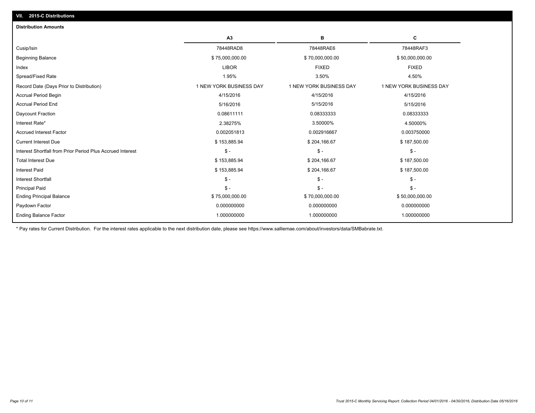| <b>Distribution Amounts</b>                                |                         |                         |                         |
|------------------------------------------------------------|-------------------------|-------------------------|-------------------------|
|                                                            | A3                      | в                       | С                       |
| Cusip/Isin                                                 | 78448RAD8               | 78448RAE6               | 78448RAF3               |
| <b>Beginning Balance</b>                                   | \$75,000,000.00         | \$70,000,000.00         | \$50,000,000.00         |
| Index                                                      | <b>LIBOR</b>            | <b>FIXED</b>            | <b>FIXED</b>            |
| Spread/Fixed Rate                                          | 1.95%                   | 3.50%                   | 4.50%                   |
| Record Date (Days Prior to Distribution)                   | 1 NEW YORK BUSINESS DAY | 1 NEW YORK BUSINESS DAY | 1 NEW YORK BUSINESS DAY |
| <b>Accrual Period Begin</b>                                | 4/15/2016               | 4/15/2016               | 4/15/2016               |
| <b>Accrual Period End</b>                                  | 5/16/2016               | 5/15/2016               | 5/15/2016               |
| Daycount Fraction                                          | 0.08611111              | 0.08333333              | 0.08333333              |
| Interest Rate*                                             | 2.38275%                | 3.50000%                | 4.50000%                |
| <b>Accrued Interest Factor</b>                             | 0.002051813             | 0.002916667             | 0.003750000             |
| <b>Current Interest Due</b>                                | \$153,885.94            | \$204,166.67            | \$187,500.00            |
| Interest Shortfall from Prior Period Plus Accrued Interest | $\mathsf{\$}$ -         | $\mathsf{\$}$ -         | \$ -                    |
| <b>Total Interest Due</b>                                  | \$153,885.94            | \$204,166.67            | \$187,500.00            |
| <b>Interest Paid</b>                                       | \$153,885.94            | \$204,166.67            | \$187,500.00            |
| <b>Interest Shortfall</b>                                  | $\mathsf{\$}$ -         | $\mathsf{\$}$ -         | $S -$                   |
| <b>Principal Paid</b>                                      | $\mathsf{\$}$ -         | $\mathsf{\$}$ -         | $S -$                   |
| <b>Ending Principal Balance</b>                            | \$75,000,000.00         | \$70,000,000.00         | \$50,000,000.00         |
| Paydown Factor                                             | 0.000000000             | 0.000000000             | 0.000000000             |
| <b>Ending Balance Factor</b>                               | 1.000000000             | 1.000000000             | 1.000000000             |

\* Pay rates for Current Distribution. For the interest rates applicable to the next distribution date, please see https://www.salliemae.com/about/investors/data/SMBabrate.txt.

**VII. 2015-C Distributions**